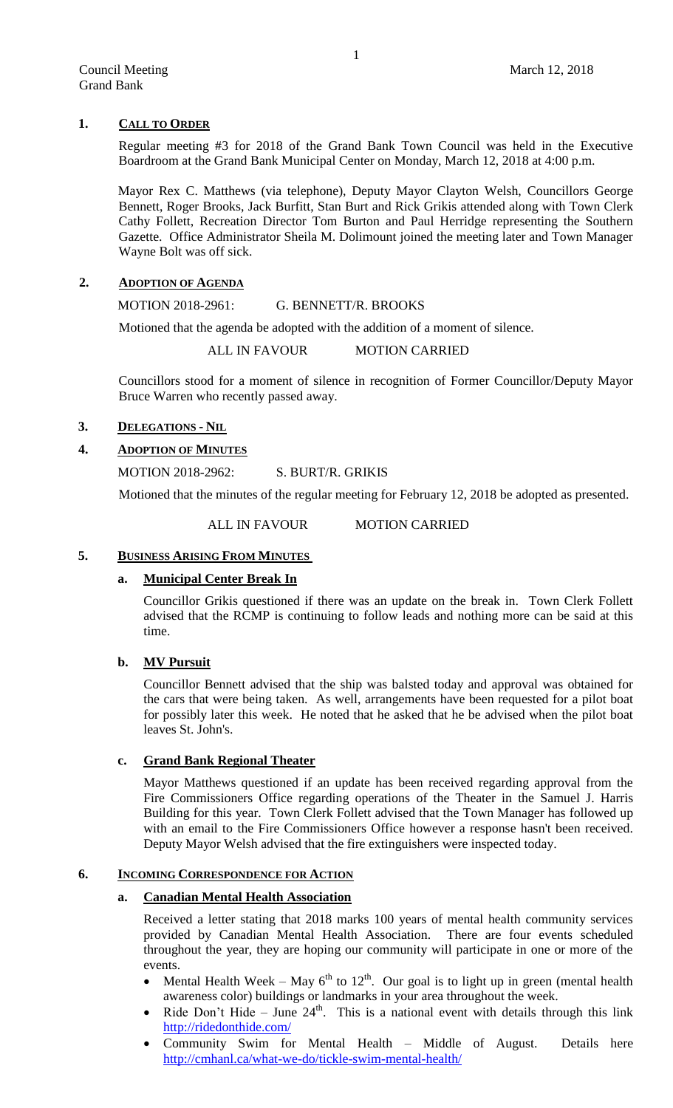# **1. CALL TO ORDER**

Regular meeting #3 for 2018 of the Grand Bank Town Council was held in the Executive Boardroom at the Grand Bank Municipal Center on Monday, March 12, 2018 at 4:00 p.m.

Mayor Rex C. Matthews (via telephone), Deputy Mayor Clayton Welsh, Councillors George Bennett, Roger Brooks, Jack Burfitt, Stan Burt and Rick Grikis attended along with Town Clerk Cathy Follett, Recreation Director Tom Burton and Paul Herridge representing the Southern Gazette. Office Administrator Sheila M. Dolimount joined the meeting later and Town Manager Wayne Bolt was off sick.

# **2. ADOPTION OF AGENDA**

MOTION 2018-2961: G. BENNETT/R. BROOKS

Motioned that the agenda be adopted with the addition of a moment of silence.

ALL IN FAVOUR MOTION CARRIED

Councillors stood for a moment of silence in recognition of Former Councillor/Deputy Mayor Bruce Warren who recently passed away.

# **3. DELEGATIONS - NIL**

# **4. ADOPTION OF MINUTES**

MOTION 2018-2962: S. BURT/R. GRIKIS

Motioned that the minutes of the regular meeting for February 12, 2018 be adopted as presented.

ALL IN FAVOUR MOTION CARRIED

# **5. BUSINESS ARISING FROM MINUTES**

# **a. Municipal Center Break In**

Councillor Grikis questioned if there was an update on the break in. Town Clerk Follett advised that the RCMP is continuing to follow leads and nothing more can be said at this time.

# **b. MV Pursuit**

Councillor Bennett advised that the ship was balsted today and approval was obtained for the cars that were being taken. As well, arrangements have been requested for a pilot boat for possibly later this week. He noted that he asked that he be advised when the pilot boat leaves St. John's.

# **c. Grand Bank Regional Theater**

Mayor Matthews questioned if an update has been received regarding approval from the Fire Commissioners Office regarding operations of the Theater in the Samuel J. Harris Building for this year. Town Clerk Follett advised that the Town Manager has followed up with an email to the Fire Commissioners Office however a response hasn't been received. Deputy Mayor Welsh advised that the fire extinguishers were inspected today.

# **6. INCOMING CORRESPONDENCE FOR ACTION**

# **a. Canadian Mental Health Association**

Received a letter stating that 2018 marks 100 years of mental health community services provided by Canadian Mental Health Association. There are four events scheduled throughout the year, they are hoping our community will participate in one or more of the events.

- Mental Health Week May  $6^{th}$  to  $12^{th}$ . Our goal is to light up in green (mental health awareness color) buildings or landmarks in your area throughout the week.
- Ride Don't Hide June  $24<sup>th</sup>$ . This is a national event with details through this link <http://ridedonthide.com/>
- Community Swim for Mental Health Middle of August. Details here <http://cmhanl.ca/what-we-do/tickle-swim-mental-health/>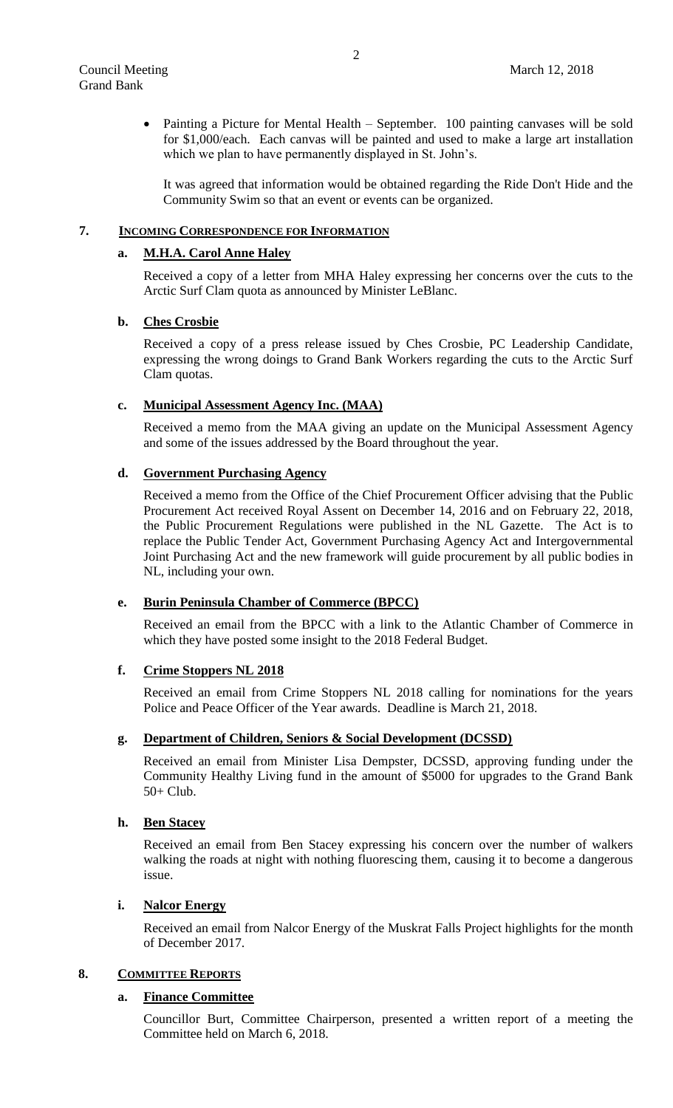• Painting a Picture for Mental Health – September. 100 painting canvases will be sold for \$1,000/each. Each canvas will be painted and used to make a large art installation which we plan to have permanently displayed in St. John's.

It was agreed that information would be obtained regarding the Ride Don't Hide and the Community Swim so that an event or events can be organized.

## **7. INCOMING CORRESPONDENCE FOR INFORMATION**

### **a. M.H.A. Carol Anne Haley**

Received a copy of a letter from MHA Haley expressing her concerns over the cuts to the Arctic Surf Clam quota as announced by Minister LeBlanc.

### **b. Ches Crosbie**

Received a copy of a press release issued by Ches Crosbie, PC Leadership Candidate, expressing the wrong doings to Grand Bank Workers regarding the cuts to the Arctic Surf Clam quotas.

#### **c. Municipal Assessment Agency Inc. (MAA)**

Received a memo from the MAA giving an update on the Municipal Assessment Agency and some of the issues addressed by the Board throughout the year.

## **d. Government Purchasing Agency**

Received a memo from the Office of the Chief Procurement Officer advising that the Public Procurement Act received Royal Assent on December 14, 2016 and on February 22, 2018, the Public Procurement Regulations were published in the NL Gazette. The Act is to replace the Public Tender Act, Government Purchasing Agency Act and Intergovernmental Joint Purchasing Act and the new framework will guide procurement by all public bodies in NL, including your own.

# **e. Burin Peninsula Chamber of Commerce (BPCC)**

Received an email from the BPCC with a link to the Atlantic Chamber of Commerce in which they have posted some insight to the 2018 Federal Budget.

# **f. Crime Stoppers NL 2018**

Received an email from Crime Stoppers NL 2018 calling for nominations for the years Police and Peace Officer of the Year awards. Deadline is March 21, 2018.

## **g. Department of Children, Seniors & Social Development (DCSSD)**

Received an email from Minister Lisa Dempster, DCSSD, approving funding under the Community Healthy Living fund in the amount of \$5000 for upgrades to the Grand Bank 50+ Club.

### **h. Ben Stacey**

Received an email from Ben Stacey expressing his concern over the number of walkers walking the roads at night with nothing fluorescing them, causing it to become a dangerous issue.

### **i. Nalcor Energy**

Received an email from Nalcor Energy of the Muskrat Falls Project highlights for the month of December 2017.

#### **8. COMMITTEE REPORTS**

## **a. Finance Committee**

Councillor Burt, Committee Chairperson, presented a written report of a meeting the Committee held on March 6, 2018.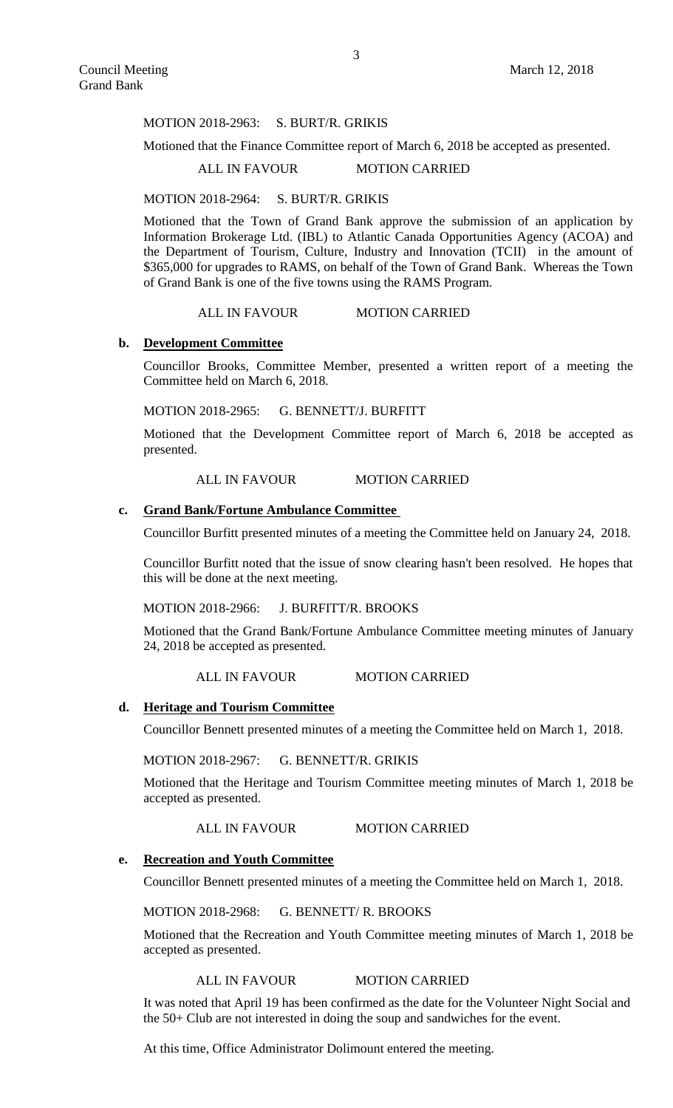#### MOTION 2018-2963: S. BURT/R. GRIKIS

Motioned that the Finance Committee report of March 6, 2018 be accepted as presented.

# ALL IN FAVOUR MOTION CARRIED

MOTION 2018-2964: S. BURT/R. GRIKIS

Motioned that the Town of Grand Bank approve the submission of an application by Information Brokerage Ltd. (IBL) to Atlantic Canada Opportunities Agency (ACOA) and the Department of Tourism, Culture, Industry and Innovation (TCII) in the amount of \$365,000 for upgrades to RAMS, on behalf of the Town of Grand Bank. Whereas the Town of Grand Bank is one of the five towns using the RAMS Program.

### ALL IN FAVOUR MOTION CARRIED

### **b. Development Committee**

Councillor Brooks, Committee Member, presented a written report of a meeting the Committee held on March 6, 2018.

MOTION 2018-2965: G. BENNETT/J. BURFITT

Motioned that the Development Committee report of March 6, 2018 be accepted as presented.

## ALL IN FAVOUR MOTION CARRIED

# **c. Grand Bank/Fortune Ambulance Committee**

Councillor Burfitt presented minutes of a meeting the Committee held on January 24, 2018.

Councillor Burfitt noted that the issue of snow clearing hasn't been resolved. He hopes that this will be done at the next meeting.

#### MOTION 2018-2966: J. BURFITT/R. BROOKS

Motioned that the Grand Bank/Fortune Ambulance Committee meeting minutes of January 24, 2018 be accepted as presented.

ALL IN FAVOUR MOTION CARRIED

#### **d. Heritage and Tourism Committee**

Councillor Bennett presented minutes of a meeting the Committee held on March 1, 2018.

MOTION 2018-2967: G. BENNETT/R. GRIKIS

Motioned that the Heritage and Tourism Committee meeting minutes of March 1, 2018 be accepted as presented.

ALL IN FAVOUR MOTION CARRIED

#### **e. Recreation and Youth Committee**

Councillor Bennett presented minutes of a meeting the Committee held on March 1, 2018.

MOTION 2018-2968: G. BENNETT/ R. BROOKS

Motioned that the Recreation and Youth Committee meeting minutes of March 1, 2018 be accepted as presented.

## ALL IN FAVOUR MOTION CARRIED

It was noted that April 19 has been confirmed as the date for the Volunteer Night Social and the 50+ Club are not interested in doing the soup and sandwiches for the event.

At this time, Office Administrator Dolimount entered the meeting.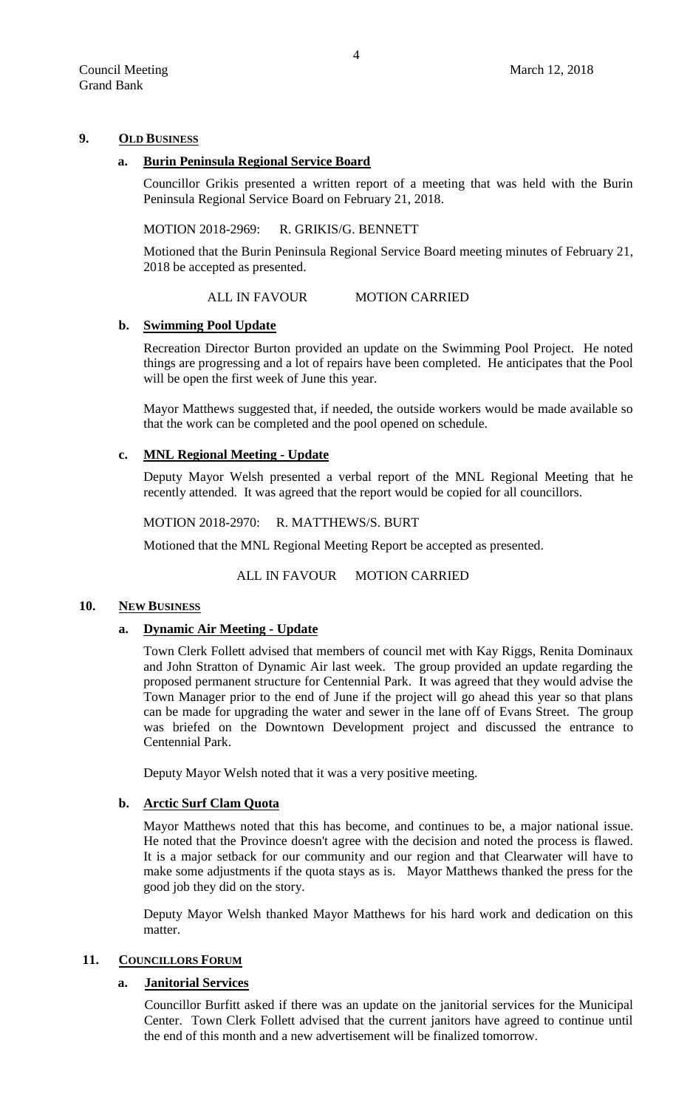## **9. OLD BUSINESS**

## **a. Burin Peninsula Regional Service Board**

Councillor Grikis presented a written report of a meeting that was held with the Burin Peninsula Regional Service Board on February 21, 2018.

### MOTION 2018-2969: R. GRIKIS/G. BENNETT

Motioned that the Burin Peninsula Regional Service Board meeting minutes of February 21, 2018 be accepted as presented.

ALL IN FAVOUR MOTION CARRIED

### **b. Swimming Pool Update**

Recreation Director Burton provided an update on the Swimming Pool Project. He noted things are progressing and a lot of repairs have been completed. He anticipates that the Pool will be open the first week of June this year.

Mayor Matthews suggested that, if needed, the outside workers would be made available so that the work can be completed and the pool opened on schedule.

# **c. MNL Regional Meeting - Update**

Deputy Mayor Welsh presented a verbal report of the MNL Regional Meeting that he recently attended. It was agreed that the report would be copied for all councillors.

MOTION 2018-2970: R. MATTHEWS/S. BURT

Motioned that the MNL Regional Meeting Report be accepted as presented.

# ALL IN FAVOUR MOTION CARRIED

### **10. NEW BUSINESS**

### **a. Dynamic Air Meeting - Update**

Town Clerk Follett advised that members of council met with Kay Riggs, Renita Dominaux and John Stratton of Dynamic Air last week. The group provided an update regarding the proposed permanent structure for Centennial Park. It was agreed that they would advise the Town Manager prior to the end of June if the project will go ahead this year so that plans can be made for upgrading the water and sewer in the lane off of Evans Street. The group was briefed on the Downtown Development project and discussed the entrance to Centennial Park.

Deputy Mayor Welsh noted that it was a very positive meeting.

# **b. Arctic Surf Clam Quota**

Mayor Matthews noted that this has become, and continues to be, a major national issue. He noted that the Province doesn't agree with the decision and noted the process is flawed. It is a major setback for our community and our region and that Clearwater will have to make some adjustments if the quota stays as is. Mayor Matthews thanked the press for the good job they did on the story.

Deputy Mayor Welsh thanked Mayor Matthews for his hard work and dedication on this matter.

### 11. **COUNCILLORS FORUM**

### **a. Janitorial Services**

Councillor Burfitt asked if there was an update on the janitorial services for the Municipal Center. Town Clerk Follett advised that the current janitors have agreed to continue until the end of this month and a new advertisement will be finalized tomorrow.